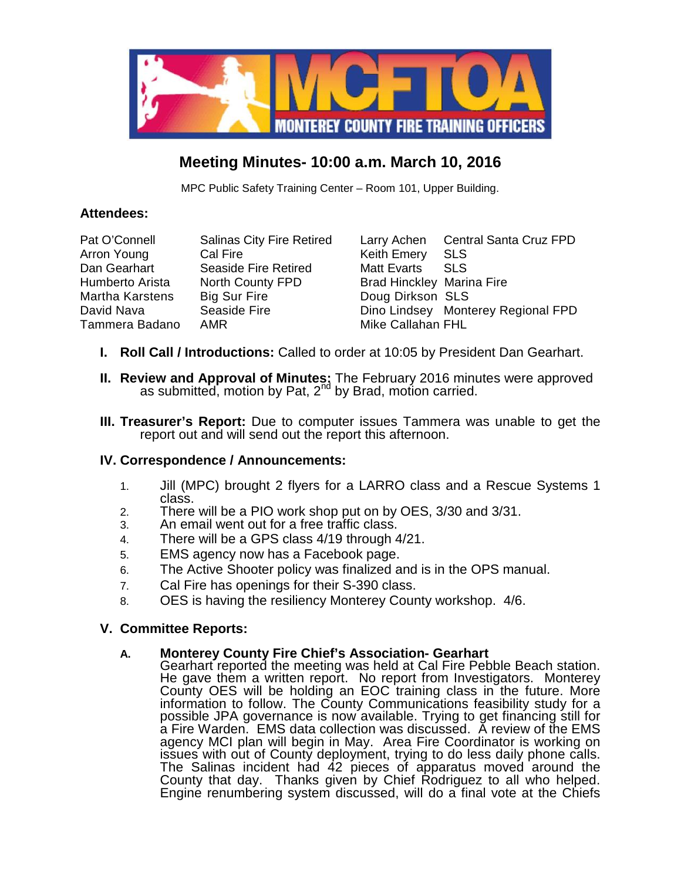

# **Meeting Minutes- 10:00 a.m. March 10, 2016**

MPC Public Safety Training Center – Room 101, Upper Building.

## **Attendees:**

Arron Young Cal Fire **Keith Emery** SLS Dan Gearhart Seaside Fire Retired Matt Evarts SLS Humberto Arista North County FPD Brad Hinckley Marina Fire Martha Karstens Big Sur Fire **Doug Dirkson** SLS Tammera Badano AMR Mike Callahan FHL

Pat O'Connell Salinas City Fire Retired Larry Achen Central Santa Cruz FPD David Nava Seaside Fire **Dino Lindsey Monterey Regional FPD** 

- **I. Roll Call / Introductions:** Called to order at 10:05 by President Dan Gearhart.
- **II. Review and Approval of Minutes:** The February 2016 minutes were approved as submitted, motion by Pat, 2<sup>nd</sup> by Brad, motion carried.
- **III. Treasurer's Report:** Due to computer issues Tammera was unable to get the report out and will send out the report this afternoon.

## **IV. Correspondence / Announcements:**

- 1. Jill (MPC) brought 2 flyers for a LARRO class and a Rescue Systems 1 class.
- 2. There will be a PIO work shop put on by OES, 3/30 and 3/31.
- 3. An email went out for a free traffic class.
- 4. There will be a GPS class 4/19 through 4/21.
- 5. EMS agency now has a Facebook page.
- 6. The Active Shooter policy was finalized and is in the OPS manual.
- 7. Cal Fire has openings for their S-390 class.
- 8. OES is having the resiliency Monterey County workshop. 4/6.

## **V. Committee Reports:**

## **A. Monterey County Fire Chief's Association- Gearhart**

Gearhart reported the meeting was held at Cal Fire Pebble Beach station. He gave them a written report. No report from Investigators. Monterey County OES will be holding an EOC training class in the future. More information to follow. The County Communications feasibility study for a possible JPA governance is now available. Trying to get financing still for a Fire Warden. EMS data collection was discussed. A review of the EMS agency MCI plan will begin in May. Area Fire Coordinator is working on issues with out of County deployment, trying to do less daily phone calls. The Salinas incident had 42 pieces of apparatus moved around the County that day. Thanks given by Chief Rodriguez to all who helped. Engine renumbering system discussed, will do a final vote at the Chiefs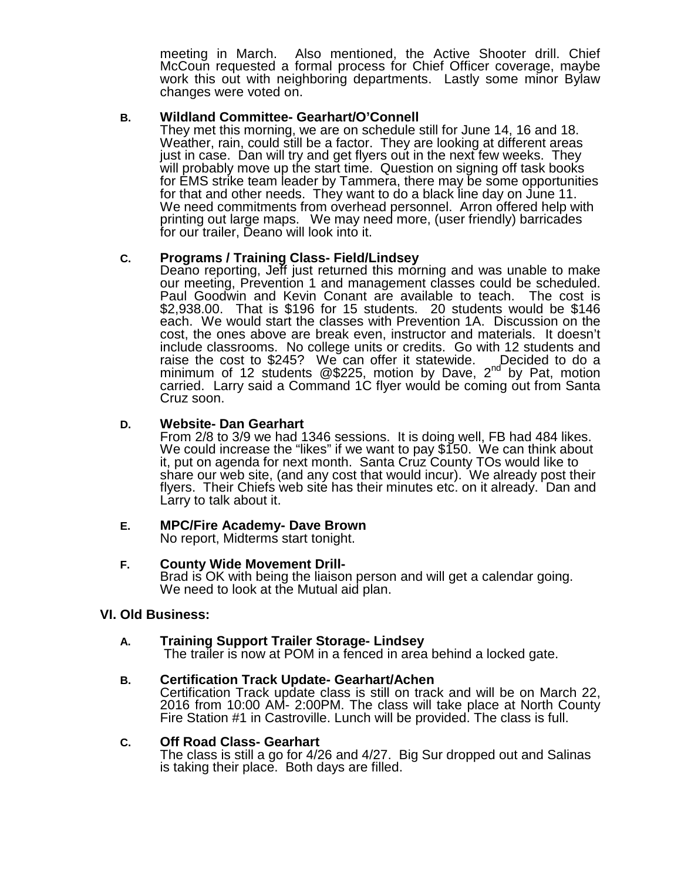meeting in March. Also mentioned, the Active Shooter drill. Chief McCoun requested a formal process for Chief Officer coverage, maybe work this out with neighboring departments. Lastly some minor Bylaw changes were voted on.

#### **B. Wildland Committee- Gearhart/O'Connell**

They met this morning, we are on schedule still for June 14, 16 and 18. Weather, rain, could still be a factor. They are looking at different areas just in case. Dan will try and get flyers out in the next few weeks. They will probably move up the start time. Question on signing off task books for EMS strike team leader by Tammera, there may be some opportunities for that and other needs. They want to do a black line day on June 11. We need commitments from overhead personnel. Arron offered help with printing out large maps. We may need more, (user friendly) barricades for our trailer, Deano will look into it.

## **C. Programs / Training Class- Field/Lindsey**

Deano reporting, Jeff just returned this morning and was unable to make our meeting, Prevention 1 and management classes could be scheduled. Paul Goodwin and Kevin Conant are available to teach. The cost is \$2,938.00. That is \$196 for 15 students. 20 students would be \$146 each. We would start the classes with Prevention 1A. Discussion on the cost, the ones above are break even, instructor and materials. It doesn't include classrooms. No college units or credits. Go with 12 students and raise the cost to \$245? We can offer it statewide.  $\Box$ Decided to do a minimum of 12 students  $@225$ , motion by Dave,  $2<sup>nd</sup>$  by Pat, motion carried. Larry said a Command 1C flyer would be coming out from Santa Cruz soon.

#### **D. Website- Dan Gearhart**

From 2/8 to 3/9 we had 1346 sessions. It is doing well, FB had 484 likes. We could increase the "likes" if we want to pay \$150. We can think about it, put on agenda for next month. Santa Cruz County TOs would like to share our web site, (and any cost that would incur). We already post their flyers. Their Chiefs web site has their minutes etc. on it already. Dan and Larry to talk about it.

## **E. MPC/Fire Academy- Dave Brown**

No report, Midterms start tonight.

**F. County Wide Movement Drill- Brand is OK with being the liaison person and will get a calendar going.** We need to look at the Mutual aid plan.

#### **VI. Old Business:**

#### **A. Training Support Trailer Storage- Lindsey**

The trailer is now at POM in a fenced in area behind a locked gate.

#### **B. Certification Track Update- Gearhart/Achen**

Certification Track update class is still on track and will be on March 22, 2016 from 10:00 AM- 2:00PM. The class will take place at North County Fire Station #1 in Castroville. Lunch will be provided. The class is full.

#### **C. Off Road Class- Gearhart**

The class is still a go for 4/26 and 4/27. Big Sur dropped out and Salinas is taking their place. Both days are filled.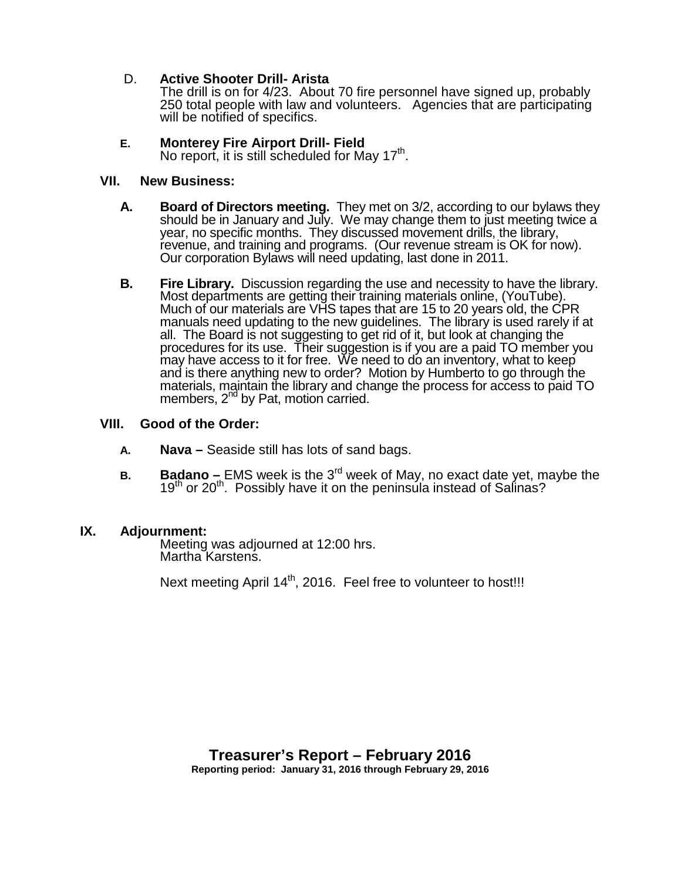## D. **Active Shooter Drill- Arista**

The drill is on for 4/23. About 70 fire personnel have signed up, probably 250 total people with law and volunteers. Agencies that are participating will be notified of specifics.

## **E. Monterey Fire Airport Drill- Field**

No report, it is still scheduled for May  $17<sup>th</sup>$ .

### **VII. New Business:**

- **A. Board of Directors meeting.** They met on 3/2, according to our bylaws they should be in January and July. We may change them to just meeting twice a year, no specific months. They discussed movement drills, the library, revenue, and training and programs. (Our revenue stream is OK for now). Our corporation Bylaws will need updating, last done in 2011.
- **B. Fire Library.** Discussion regarding the use and necessity to have the library. Most departments are getting their training materials online, (YouTube). Much of our materials are VHS tapes that are 15 to 20 years old, the CPR manuals need updating to the new guidelines. The library is used rarely if at all. The Board is not suggesting to get rid of it, but look at changing the procedures for its use. Their suggestion is if you are a paid TO member you may have access to it for free. We need to do an inventory, what to keep and is there anything new to order? Motion by Humberto to go through the materials, maintain the library and change the process for access to paid TO members, 2<sup>nd</sup> by Pat, motion carried.

### **VIII. Good of the Order:**

- **A. Nava –** Seaside still has lots of sand bags.
- **B. Badano** EMS week is the 3<sup>rd</sup> week of May, no exact date yet, maybe the 19<sup>th</sup> or 20<sup>th</sup>. Possibly have it on the peninsula instead of Salinas?

### **IX. Adjournment:**

Meeting was adjourned at 12:00 hrs. Martha Karstens.

Next meeting April 14<sup>th</sup>, 2016. Feel free to volunteer to host!!!

**Reporting period: January 31, 2016 through February 29, 2016**